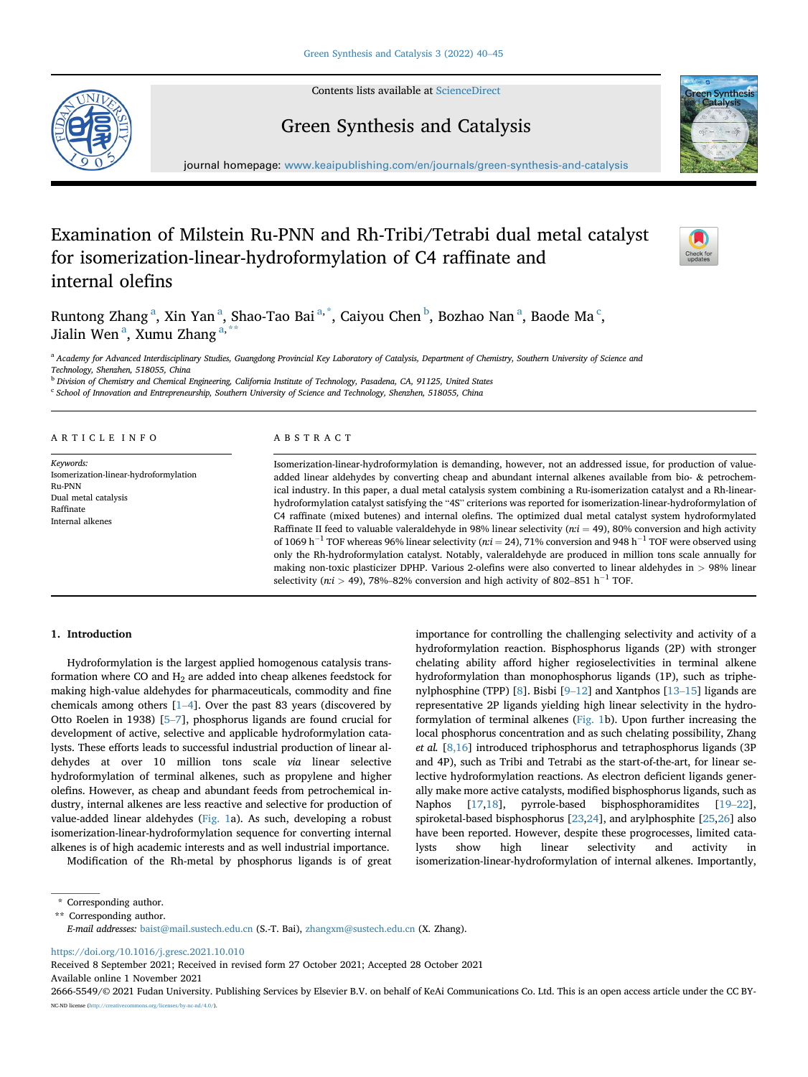Contents lists available at [ScienceDirect](www.sciencedirect.com/science/journal/26665549)

Green Synthesis and Catalysis

reen Synthesis

journal homepage: <www.keaipublishing.com/en/journals/green-synthesis-and-catalysis>

# Examination of Milstein Ru-PNN and Rh-Tribi/Tetrabi dual metal catalyst for isomerization-linear-hydroformylation of C4 raffinate and internal olefins



Runtong Zh[a](#page-0-0)ng <sup>a</sup>, Xin Yan <sup>a</sup>, Shao-Tao Bai <sup>[a,](#page-0-0) \*</sup>, Caiyou Chen <sup>[b](#page-0-1)</sup>, Bozhao Nan <sup>a</sup>, Baode Ma <sup>[c](#page-0-2)</sup>, Ji[a](#page-0-0)lin Wen<sup>a</sup>, Xumu Zhang<sup>a,[\\*\\*](#page-0-3)</sup>

<span id="page-0-0"></span>a Academy for Advanced Interdisciplinary Studies, Guangdong Provincial Key Laboratory of Catalysis, Department of Chemistry, Southern University of Science and Technology, Shenzhen, 518055, China

<span id="page-0-1"></span><sup>b</sup> Division of Chemistry and Chemical Engineering, California Institute of Technology, Pasadena, CA, 91125, United States

<span id="page-0-2"></span><sup>c</sup> School of Innovation and Entrepreneurship, Southern University of Science and Technology, Shenzhen, 518055, China

# ARTICLE INFO

Keywords: Isomerization-linear-hydroformylation Ru-PNN Dual metal catalysis Raffinate Internal alkenes

#### ABSTRACT

Isomerization-linear-hydroformylation is demanding, however, not an addressed issue, for production of valueadded linear aldehydes by converting cheap and abundant internal alkenes available from bio- & petrochemical industry. In this paper, a dual metal catalysis system combining a Ru-isomerization catalyst and a Rh-linearhydroformylation catalyst satisfying the "4S" criterions was reported for isomerization-linear-hydroformylation of C4 raffinate (mixed butenes) and internal olefins. The optimized dual metal catalyst system hydroformylated Raffinate II feed to valuable valeraldehyde in 98% linear selectivity ( $ni = 49$ ), 80% conversion and high activity of 1069 h<sup>-1</sup> TOF whereas 96% linear selectivity ( $ni = 24$ ), 71% conversion and 948 h<sup>-1</sup> TOF were observed using only the Rh-hydroformylation catalyst. Notably, valeraldehyde are produced in million tons scale annually for making non-toxic plasticizer DPHP. Various 2-olefins were also converted to linear aldehydes in > 98% linear selectivity  $(ni > 49)$ , 78%–82% conversion and high activity of 802–851 h<sup>-1</sup> TOF.

### 1. Introduction

Hydroformylation is the largest applied homogenous catalysis transformation where CO and H2 are added into cheap alkenes feedstock for making high-value aldehydes for pharmaceuticals, commodity and fine chemicals among others [[1](#page-5-0)–[4\]](#page-5-0). Over the past 83 years (discovered by Otto Roelen in 1938) [\[5](#page-5-1)–[7\]](#page-5-1), phosphorus ligands are found crucial for development of active, selective and applicable hydroformylation catalysts. These efforts leads to successful industrial production of linear aldehydes at over 10 million tons scale via linear selective hydroformylation of terminal alkenes, such as propylene and higher olefins. However, as cheap and abundant feeds from petrochemical industry, internal alkenes are less reactive and selective for production of value-added linear aldehydes [\(Fig. 1](#page-1-0)a). As such, developing a robust isomerization-linear-hydroformylation sequence for converting internal alkenes is of high academic interests and as well industrial importance.

Modification of the Rh-metal by phosphorus ligands is of great

importance for controlling the challenging selectivity and activity of a hydroformylation reaction. Bisphosphorus ligands (2P) with stronger chelating ability afford higher regioselectivities in terminal alkene hydroformylation than monophosphorus ligands (1P), such as triphenylphosphine (TPP) [\[8\]](#page-5-2). Bisbi [\[9](#page-5-3)–[12](#page-5-3)] and Xantphos [\[13](#page-5-4)–[15](#page-5-4)] ligands are representative 2P ligands yielding high linear selectivity in the hydroformylation of terminal alkenes [\(Fig. 1b](#page-1-0)). Upon further increasing the local phosphorus concentration and as such chelating possibility, Zhang et al. [[8,16](#page-5-2)] introduced triphosphorus and tetraphosphorus ligands (3P and 4P), such as Tribi and Tetrabi as the start-of-the-art, for linear selective hydroformylation reactions. As electron deficient ligands generally make more active catalysts, modified bisphosphorus ligands, such as Naphos [\[17](#page-5-5),[18](#page-5-6)], pyrrole-based bisphosphoramidites [\[19](#page-5-7)–[22](#page-5-7)], spiroketal-based bisphosphorus [[23,](#page-5-8)[24\]](#page-5-9), and arylphosphite [\[25](#page-5-10)[,26](#page-5-11)] also have been reported. However, despite these progrocesses, limited catalysts show high linear selectivity and activity in isomerization-linear-hydroformylation of internal alkenes. Importantly,

\* Corresponding author.

<span id="page-0-3"></span>\*\* Corresponding author.

E-mail addresses: [baist@mail.sustech.edu.cn](mailto:baist@mail.sustech.edu.cn) (S.-T. Bai), [zhangxm@sustech.edu.cn](mailto:zhangxm@sustech.edu.cn) (X. Zhang).

<https://doi.org/10.1016/j.gresc.2021.10.010>

Received 8 September 2021; Received in revised form 27 October 2021; Accepted 28 October 2021 Available online 1 November 2021

2666-5549/© 2021 Fudan University. Publishing Services by Elsevier B.V. on behalf of KeAi Communications Co. Ltd. This is an open access article under the CC BY-NC-ND license ([http://creativecommons.org/licenses/by-nc-nd/4.0/\)](http://creativecommons.org/licenses/by-nc-nd/4.0/).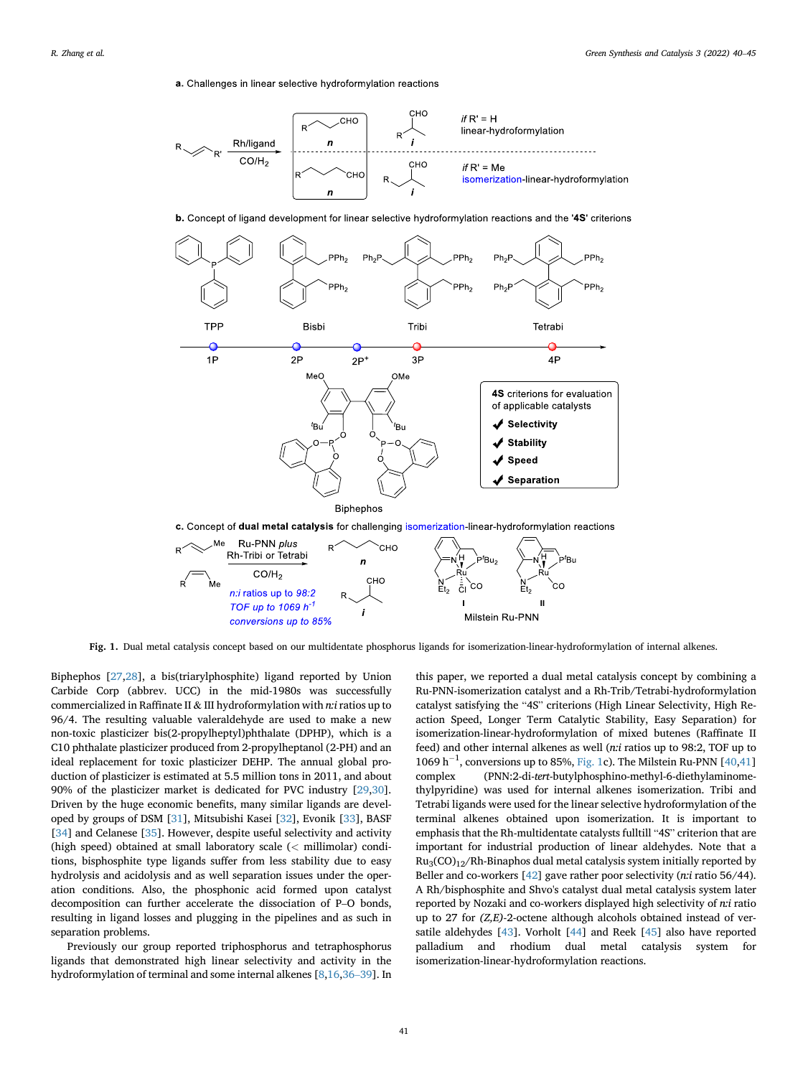a. Challenges in linear selective hydroformylation reactions

<span id="page-1-0"></span>

**b.** Concept of ligand development for linear selective hydroformylation reactions and the '4S' criterions



c. Concept of dual metal catalysis for challenging isomerization-linear-hydroformylation reactions



Fig. 1. Dual metal catalysis concept based on our multidentate phosphorus ligands for isomerization-linear-hydroformylation of internal alkenes.

Biphephos [\[27](#page-5-12),[28](#page-5-13)], a bis(triarylphosphite) ligand reported by Union Carbide Corp (abbrev. UCC) in the mid-1980s was successfully commercialized in Raffinate II & III hydroformylation with n:i ratios up to 96/4. The resulting valuable valeraldehyde are used to make a new non-toxic plasticizer bis(2-propylheptyl)phthalate (DPHP), which is a C10 phthalate plasticizer produced from 2-propylheptanol (2-PH) and an ideal replacement for toxic plasticizer DEHP. The annual global production of plasticizer is estimated at 5.5 million tons in 2011, and about 90% of the plasticizer market is dedicated for PVC industry [\[29](#page-5-14)[,30](#page-5-15)]. Driven by the huge economic benefits, many similar ligands are developed by groups of DSM [\[31](#page-5-16)], Mitsubishi Kasei [\[32](#page-5-17)], Evonik [\[33](#page-5-18)], BASF [[34\]](#page-5-19) and Celanese [[35\]](#page-5-20). However, despite useful selectivity and activity (high speed) obtained at small laboratory scale (< millimolar) conditions, bisphosphite type ligands suffer from less stability due to easy hydrolysis and acidolysis and as well separation issues under the operation conditions. Also, the phosphonic acid formed upon catalyst decomposition can further accelerate the dissociation of P–O bonds, resulting in ligand losses and plugging in the pipelines and as such in separation problems.

Previously our group reported triphosphorus and tetraphosphorus ligands that demonstrated high linear selectivity and activity in the hydroformylation of terminal and some internal alkenes [[8](#page-5-2),[16](#page-5-21),[36](#page-5-22)–[39](#page-5-22)]. In this paper, we reported a dual metal catalysis concept by combining a Ru-PNN-isomerization catalyst and a Rh-Trib/Tetrabi-hydroformylation catalyst satisfying the "4S" criterions (High Linear Selectivity, High Reaction Speed, Longer Term Catalytic Stability, Easy Separation) for isomerization-linear-hydroformylation of mixed butenes (Raffinate II feed) and other internal alkenes as well (n:i ratios up to 98:2, TOF up to 1069  $h^{-1}$ , conversions up to 85%, [Fig. 1c](#page-1-0)). The Milstein Ru-PNN [\[40](#page-5-23)[,41](#page-5-24)] complex (PNN:2-di-tert-butylphosphino-methyl-6-diethylaminomethylpyridine) was used for internal alkenes isomerization. Tribi and Tetrabi ligands were used for the linear selective hydroformylation of the terminal alkenes obtained upon isomerization. It is important to emphasis that the Rh-multidentate catalysts fulltill "4S" criterion that are important for industrial production of linear aldehydes. Note that a  $Ru<sub>3</sub>(CO)<sub>12</sub>/Rh-Binaphos dual metal catalysis system initially reported by$ Beller and co-workers  $[42]$  $[42]$  gave rather poor selectivity (*n:i* ratio 56/44). A Rh/bisphosphite and Shvo's catalyst dual metal catalysis system later reported by Nozaki and co-workers displayed high selectivity of n:i ratio up to 27 for (Z,E)-2-octene although alcohols obtained instead of versatile aldehydes [[43\]](#page-5-26). Vorholt [\[44](#page-5-27)] and Reek [[45\]](#page-5-28) also have reported palladium and rhodium dual metal catalysis system for isomerization-linear-hydroformylation reactions.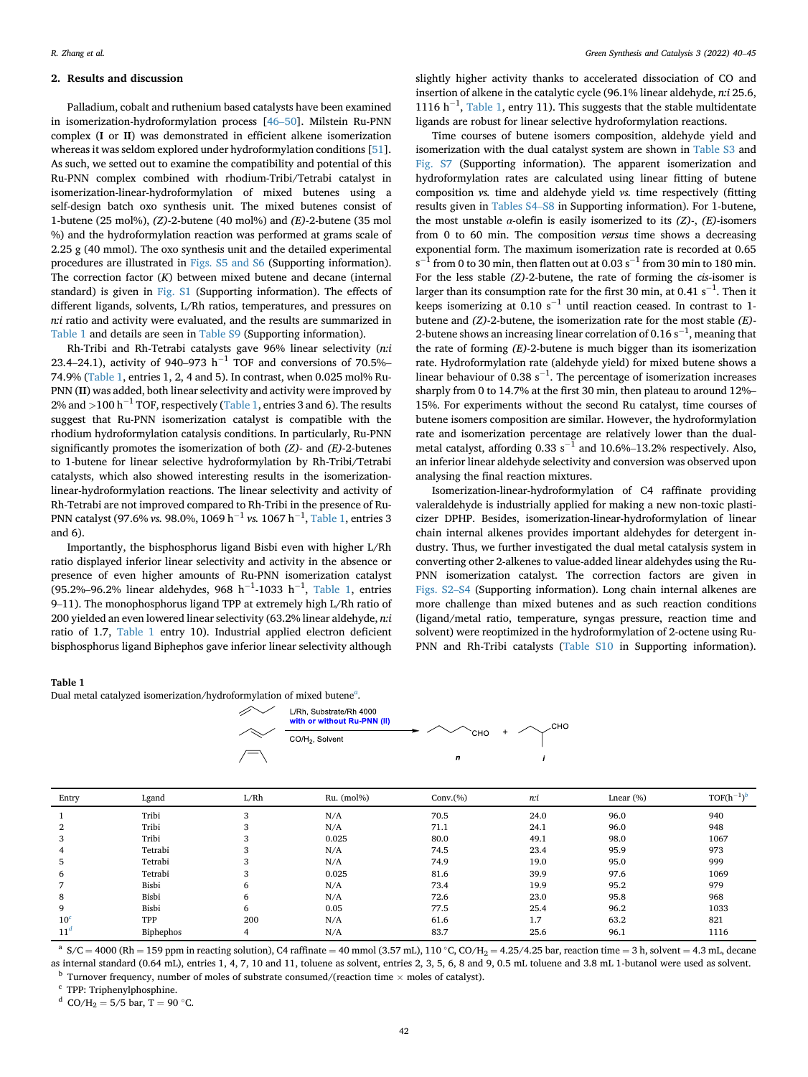# 2. Results and discussion

Palladium, cobalt and ruthenium based catalysts have been examined in isomerization-hydroformylation process [[46](#page-5-29)–[50\]](#page-5-29). Milstein Ru-PNN complex (I or II) was demonstrated in efficient alkene isomerization whereas it was seldom explored under hydroformylation conditions [\[51](#page-5-30)]. As such, we setted out to examine the compatibility and potential of this Ru-PNN complex combined with rhodium-Tribi/Tetrabi catalyst in isomerization-linear-hydroformylation of mixed butenes using a self-design batch oxo synthesis unit. The mixed butenes consist of 1-butene (25 mol%), (Z)-2-butene (40 mol%) and (E)-2-butene (35 mol %) and the hydroformylation reaction was performed at grams scale of 2.25 g (40 mmol). The oxo synthesis unit and the detailed experimental procedures are illustrated in Figs. S5 and S6 (Supporting information). The correction factor  $(K)$  between mixed butene and decane (internal standard) is given in Fig. S1 (Supporting information). The effects of different ligands, solvents, L/Rh ratios, temperatures, and pressures on n:i ratio and activity were evaluated, and the results are summarized in [Table 1](#page-2-0) and details are seen in Table S9 (Supporting information).

Rh-Tribi and Rh-Tetrabi catalysts gave 96% linear selectivity (n:i  $23.4-24.1$ ), activity of 940–973 h<sup>-1</sup> TOF and conversions of 70.5%– 74.9% ([Table 1,](#page-2-0) entries 1, 2, 4 and 5). In contrast, when 0.025 mol% Ru-PNN (II) was added, both linear selectivity and activity were improved by 2% and  $>$  100 h $^{-1}$  TOF, respectively [\(Table 1](#page-2-0), entries 3 and 6). The results suggest that Ru-PNN isomerization catalyst is compatible with the rhodium hydroformylation catalysis conditions. In particularly, Ru-PNN significantly promotes the isomerization of both  $(Z)$ - and  $(E)$ -2-butenes to 1-butene for linear selective hydroformylation by Rh-Tribi/Tetrabi catalysts, which also showed interesting results in the isomerizationlinear-hydroformylation reactions. The linear selectivity and activity of Rh-Tetrabi are not improved compared to Rh-Tribi in the presence of Ru-PNN catalyst (97.6% *vs*. 98.0%, 1069 h $^{-1}$  *vs*. 1067 h $^{-1}$ , [Table 1,](#page-2-0) entries 3 and 6).

Importantly, the bisphosphorus ligand Bisbi even with higher L/Rh ratio displayed inferior linear selectivity and activity in the absence or presence of even higher amounts of Ru-PNN isomerization catalyst  $(95.2\% - 96.2\%)$  linear aldehydes,  $968 \text{ h}^{-1}$ -1033 h<sup>-1</sup>, [Table 1](#page-2-0), entries <sup>9</sup>–11). The monophosphorus ligand TPP at extremely high L/Rh ratio of 200 yielded an even lowered linear selectivity (63.2% linear aldehyde, n:i ratio of 1.7, [Table 1](#page-2-0) entry 10). Industrial applied electron deficient bisphosphorus ligand Biphephos gave inferior linear selectivity although

R. Zhang et al. Green Synthesis and Catalysis 3 (2022) 40–45

slightly higher activity thanks to accelerated dissociation of CO and insertion of alkene in the catalytic cycle (96.1% linear aldehyde, n:i 25.6, 1116  $h^{-1}$ , [Table 1](#page-2-0), entry 11). This suggests that the stable multidentate ligands are robust for linear selective hydroformylation reactions.

Time courses of butene isomers composition, aldehyde yield and isomerization with the dual catalyst system are shown in Table S3 and Fig. S7 (Supporting information). The apparent isomerization and hydroformylation rates are calculated using linear fitting of butene composition vs. time and aldehyde yield vs. time respectively (fitting results given in Tables S4–S8 in Supporting information). For 1-butene, the most unstable  $\alpha$ -olefin is easily isomerized to its (Z)-, (E)-isomers from 0 to 60 min. The composition versus time shows a decreasing exponential form. The maximum isomerization rate is recorded at 0.65 s<sup>-1</sup> from 0 to 30 min, then flatten out at 0.03 s<sup>-1</sup> from 30 min to 180 min. For the less stable (Z)-2-butene, the rate of forming the cis-isomer is larger than its consumption rate for the first 30 min, at 0.41  $s^{-1}$ . Then it keeps isomerizing at 0.10  $s^{-1}$  until reaction ceased. In contrast to 1butene and  $(Z)$ -2-butene, the isomerization rate for the most stable  $(E)$ -2-butene shows an increasing linear correlation of 0.16  $s^{-1}$ , meaning that the rate of forming  $(E)$ -2-butene is much bigger than its isomerization rate. Hydroformylation rate (aldehyde yield) for mixed butene shows a linear behaviour of 0.38  $s^{-1}$ . The percentage of isomerization increases sharply from 0 to 14.7% at the first 30 min, then plateau to around 12%– 15%. For experiments without the second Ru catalyst, time courses of butene isomers composition are similar. However, the hydroformylation rate and isomerization percentage are relatively lower than the dualmetal catalyst, affording  $0.33 \text{ s}^{-1}$  and  $10.6\%$ –13.2% respectively. Also, an inferior linear aldehyde selectivity and conversion was observed upon analysing the final reaction mixtures.

Isomerization-linear-hydroformylation of C4 raffinate providing valeraldehyde is industrially applied for making a new non-toxic plasticizer DPHP. Besides, isomerization-linear-hydroformylation of linear chain internal alkenes provides important aldehydes for detergent industry. Thus, we further investigated the dual metal catalysis system in converting other 2-alkenes to value-added linear aldehydes using the Ru-PNN isomerization catalyst. The correction factors are given in Figs. S2–S4 (Supporting information). Long chain internal alkenes are more challenge than mixed butenes and as such reaction conditions (ligand/metal ratio, temperature, syngas pressure, reaction time and solvent) were reoptimized in the hydroformylation of 2-octene using Ru-PNN and Rh-Tribi catalysts (Table S10 in Supporting information).

#### <span id="page-2-0"></span>Table 1

1

| L/Rh. Substrate/Rh 4000<br>with or without Ru-PNN (II) |     | CHO. |
|--------------------------------------------------------|-----|------|
| CO/H <sub>2</sub> , Solvent                            | CHO |      |
|                                                        |     |      |

| Entry           | Lgand     | L/Rh | $Ru.$ (mol%) | Conv.(%) | n:i  | Lnear $(\%)$ | $TOF(h^{-1})^b$ |
|-----------------|-----------|------|--------------|----------|------|--------------|-----------------|
|                 | Tribi     | 3    | N/A          | 70.5     | 24.0 | 96.0         | 940             |
| ົ               | Tribi     | 3    | N/A          | 71.1     | 24.1 | 96.0         | 948             |
| 3               | Tribi     | 3    | 0.025        | 80.0     | 49.1 | 98.0         | 1067            |
| 4               | Tetrabi   | 3    | N/A          | 74.5     | 23.4 | 95.9         | 973             |
| C.              | Tetrabi   | 3    | N/A          | 74.9     | 19.0 | 95.0         | 999             |
| 6               | Tetrabi   | 3    | 0.025        | 81.6     | 39.9 | 97.6         | 1069            |
|                 | Bisbi     | 6    | N/A          | 73.4     | 19.9 | 95.2         | 979             |
| 8               | Bisbi     | 6    | N/A          | 72.6     | 23.0 | 95.8         | 968             |
| 9               | Bisbi     | 6    | 0.05         | 77.5     | 25.4 | 96.2         | 1033            |
| 10 <sup>c</sup> | TPP       | 200  | N/A          | 61.6     | 1.7  | 63.2         | 821             |
| 11 <sup>a</sup> | Biphephos |      | N/A          | 83.7     | 25.6 | 96.1         | 1116            |

<span id="page-2-1"></span> $a_{S/C} = 4000$  (Rh = 159 ppm in reacting solution), C4 raffinate = 40 mmol (3.57 mL), 110 °C, CO/H<sub>2</sub> = 4.25/4.25 bar, reaction time = 3 h, solvent = 4.3 mL, decane as internal standard (0.64 mL), entries 1, 4, 7, 10 and 11, toluene as solvent, entries 2, 3, 5, 6, 8 and 9, 0.5 mL toluene and 3.8 mL 1-butanol were used as solvent.  $^{\rm b}$  Turnover frequency, number of moles of substrate consumed/(reaction time  $\times$  moles of catalyst).  $^{\rm c}$  TPP: Triphenylphosphine.

<span id="page-2-3"></span><span id="page-2-2"></span>

<span id="page-2-4"></span><sup>d</sup> CO/H<sub>2</sub> = 5/5 bar, T = 90 °C.

Du[a](#page-2-1)l metal catalyzed isomerization/hydroformylation of mixed butene<sup>a</sup>.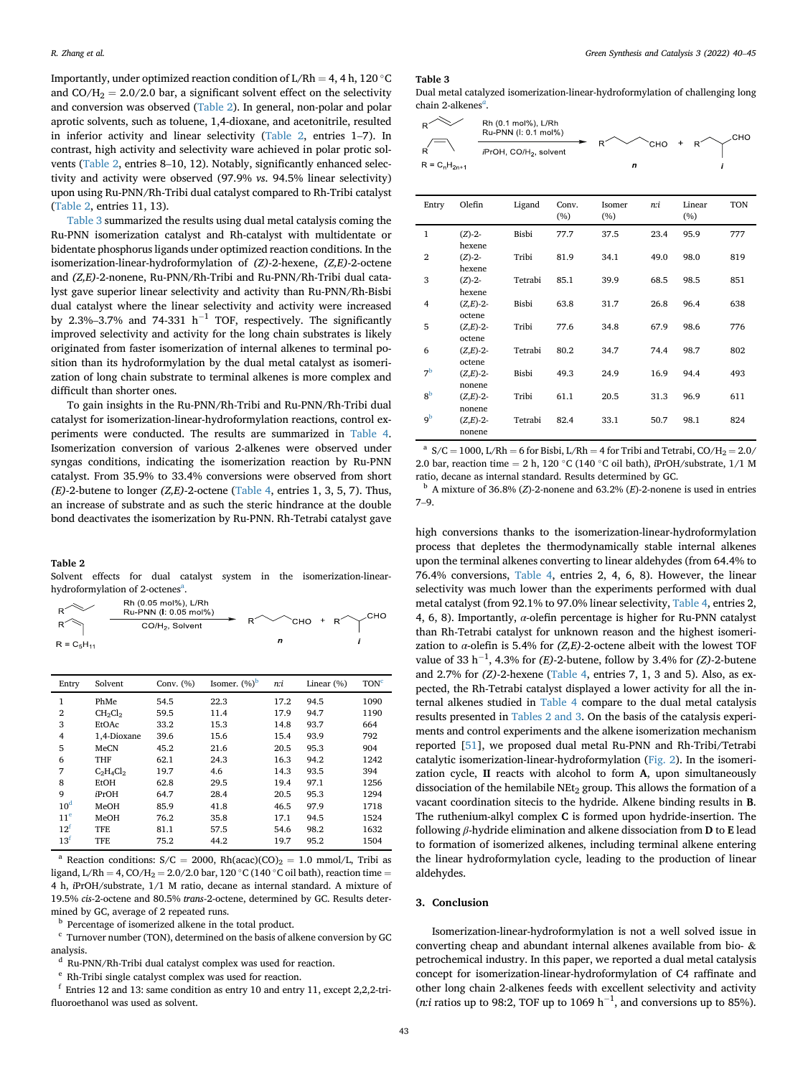Importantly, under optimized reaction condition of  $L/Rh = 4$ , 4 h, 120 °C and  $CO/H<sub>2</sub> = 2.0/2.0$  bar, a significant solvent effect on the selectivity and conversion was observed ([Table 2\)](#page-3-0). In general, non-polar and polar aprotic solvents, such as toluene, 1,4-dioxane, and acetonitrile, resulted in inferior activity and linear selectivity ([Table 2](#page-3-0), entries 1–7). In contrast, high activity and selectivity ware achieved in polar protic solvents [\(Table 2](#page-3-0), entries 8–10, 12). Notably, significantly enhanced selectivity and activity were observed (97.9% vs. 94.5% linear selectivity) upon using Ru-PNN/Rh-Tribi dual catalyst compared to Rh-Tribi catalyst ([Table 2,](#page-3-0) entries 11, 13).

[Table 3](#page-3-1) summarized the results using dual metal catalysis coming the Ru-PNN isomerization catalyst and Rh-catalyst with multidentate or bidentate phosphorus ligands under optimized reaction conditions. In the isomerization-linear-hydroformylation of (Z)-2-hexene, (Z,E)-2-octene and (Z,E)-2-nonene, Ru-PNN/Rh-Tribi and Ru-PNN/Rh-Tribi dual catalyst gave superior linear selectivity and activity than Ru-PNN/Rh-Bisbi dual catalyst where the linear selectivity and activity were increased by  $2.3\%$ –3.7% and  $74-331$   $h^{-1}$  TOF, respectively. The significantly improved selectivity and activity for the long chain substrates is likely originated from faster isomerization of internal alkenes to terminal position than its hydroformylation by the dual metal catalyst as isomerization of long chain substrate to terminal alkenes is more complex and difficult than shorter ones.

To gain insights in the Ru-PNN/Rh-Tribi and Ru-PNN/Rh-Tribi dual catalyst for isomerization-linear-hydroformylation reactions, control experiments were conducted. The results are summarized in [Table 4.](#page-4-0) Isomerization conversion of various 2-alkenes were observed under syngas conditions, indicating the isomerization reaction by Ru-PNN catalyst. From 35.9% to 33.4% conversions were observed from short  $(E)$ -2-butene to longer  $(Z, E)$ -2-octene ([Table 4,](#page-4-0) entries 1, 3, 5, 7). Thus, an increase of substrate and as such the steric hindrance at the double bond deactivates the isomerization by Ru-PNN. Rh-Tetrabi catalyst gave

#### <span id="page-3-0"></span>Table 2

Solvent effects for dual catalyst system in the isomerization-linearhydroformyl[a](#page-3-2)tion of 2-octenes<sup>a</sup>.

|                 | Rh (0.05 mol%), L/Rh<br>Ru-PNN (I: 0.05 mol%) |                             | <b>CHC</b> |
|-----------------|-----------------------------------------------|-----------------------------|------------|
|                 | CO/H <sub>2</sub> , Solvent                   | $\sim$ CHO + R <sup>2</sup> |            |
| $R = C_5H_{11}$ |                                               |                             |            |

| Entry           | Solvent                         | Conv. $(\%)$ | Isomer. $(\%)^b$ | n:i  | Linear $(\%)$ | <b>TON</b> <sup>c</sup> |
|-----------------|---------------------------------|--------------|------------------|------|---------------|-------------------------|
| 1               | PhMe                            | 54.5         | 22.3             | 17.2 | 94.5          | 1090                    |
| $\overline{2}$  | CH <sub>2</sub> Cl <sub>2</sub> | 59.5         | 11.4             | 17.9 | 94.7          | 1190                    |
| 3               | EtOAc                           | 33.2         | 15.3             | 14.8 | 93.7          | 664                     |
| $\overline{4}$  | 1.4-Dioxane                     | 39.6         | 15.6             | 15.4 | 93.9          | 792                     |
| 5               | MeCN                            | 45.2         | 21.6             | 20.5 | 95.3          | 904                     |
| 6               | <b>THF</b>                      | 62.1         | 24.3             | 16.3 | 94.2          | 1242                    |
| 7               | $C_2H_4Cl_2$                    | 19.7         | 4.6              | 14.3 | 93.5          | 394                     |
| 8               | EtOH                            | 62.8         | 29.5             | 19.4 | 97.1          | 1256                    |
| 9               | iPrOH                           | 64.7         | 28.4             | 20.5 | 95.3          | 1294                    |
| 10 <sup>d</sup> | MeOH                            | 85.9         | 41.8             | 46.5 | 97.9          | 1718                    |
| 11 <sup>e</sup> | MeOH                            | 76.2         | 35.8             | 17.1 | 94.5          | 1524                    |
| 12 <sup>f</sup> | <b>TFE</b>                      | 81.1         | 57.5             | 54.6 | 98.2          | 1632                    |
| 13 <sup>f</sup> | <b>TFE</b>                      | 75.2         | 44.2             | 19.7 | 95.2          | 1504                    |

<span id="page-3-2"></span><sup>a</sup> Reaction conditions:  $S/C = 2000$ , Rh(acac)(CO)<sub>2</sub> = 1.0 mmol/L, Tribi as ligand, L/Rh = 4, CO/H<sub>2</sub> = 2.0/2.0 bar, 120 °C (140 °C oil bath), reaction time = 4 h, iPrOH/substrate, 1/1 M ratio, decane as internal standard. A mixture of 19.5% cis-2-octene and 80.5% trans-2-octene, determined by GC. Results determined by GC, average of 2 repeated runs.

<span id="page-3-3"></span> $^{\rm b}$  Percentage of isomerized alkene in the total product.

<span id="page-3-4"></span> $c$  Turnover number (TON), determined on the basis of alkene conversion by GC analysis.

<span id="page-3-5"></span><sup>d</sup> Ru-PNN/Rh-Tribi dual catalyst complex was used for reaction.

<span id="page-3-6"></span><sup>e</sup> Rh-Tribi single catalyst complex was used for reaction.

<span id="page-3-7"></span><sup>f</sup> Entries 12 and 13: same condition as entry 10 and entry 11, except 2,2,2-trifluoroethanol was used as solvent.

# <span id="page-3-1"></span>Table 3

Dual metal catalyzed isomerization-linear-hydroformylation of challenging long ch[a](#page-3-8)in 2-alkenes<sup>a</sup>.

|                   | Rh (0.1 mol%), L/Rh<br>Ru-PNN (I: 0.1 mol%) |      | CHO            |
|-------------------|---------------------------------------------|------|----------------|
|                   | iPrOH, CO/H <sub>2</sub> , solvent          | CHO. | R <sup>2</sup> |
| $R = C_nH_{2n+1}$ |                                             |      |                |

| Entry          | Olefin                | Ligand  | Conv.<br>(%) | Isomer<br>(%) | n:i  | Linear<br>(%) | <b>TON</b> |
|----------------|-----------------------|---------|--------------|---------------|------|---------------|------------|
| $\mathbf{1}$   | $(Z) - 2 -$<br>hexene | Bisbi   | 77.7         | 37.5          | 23.4 | 95.9          | 777        |
| $\overline{2}$ | $(Z) - 2 -$<br>hexene | Tribi   | 81.9         | 34.1          | 49.0 | 98.0          | 819        |
| 3              | $(Z) - 2 -$<br>hexene | Tetrabi | 85.1         | 39.9          | 68.5 | 98.5          | 851        |
| 4              | $(Z,E)$ -2-<br>octene | Bisbi   | 63.8         | 31.7          | 26.8 | 96.4          | 638        |
| 5              | $(Z,E)$ -2-<br>octene | Tribi   | 77.6         | 34.8          | 67.9 | 98.6          | 776        |
| 6              | $(Z,E)$ -2-<br>octene | Tetrabi | 80.2         | 34.7          | 74.4 | 98.7          | 802        |
| 7 <sup>b</sup> | $(Z,E)$ -2-<br>nonene | Bisbi   | 49.3         | 24.9          | 16.9 | 94.4          | 493        |
| 8 <sup>b</sup> | $(Z,E)$ -2-<br>nonene | Tribi   | 61.1         | 20.5          | 31.3 | 96.9          | 611        |
| q <sub>b</sub> | $(Z,E)$ -2-<br>nonene | Tetrabi | 82.4         | 33.1          | 50.7 | 98.1          | 824        |

<span id="page-3-8"></span><sup>a</sup>  $S/C = 1000$ , L/Rh = 6 for Bisbi, L/Rh = 4 for Tribi and Tetrabi,  $CO/H_2 = 2.0/$ 2.0 bar, reaction time = 2 h, 120 °C (140 °C oil bath), iPrOH/substrate,  $1/1$  M ratio, decane as internal standard. Results determined by GC.

<span id="page-3-9"></span> $<sup>b</sup>$  A mixture of 36.8% (Z)-2-nonene and 63.2% (E)-2-nonene is used in entries</sup> <sup>7</sup>–9.

high conversions thanks to the isomerization-linear-hydroformylation process that depletes the thermodynamically stable internal alkenes upon the terminal alkenes converting to linear aldehydes (from 64.4% to 76.4% conversions, [Table 4](#page-4-0), entries 2, 4, 6, 8). However, the linear selectivity was much lower than the experiments performed with dual metal catalyst (from 92.1% to 97.0% linear selectivity, [Table 4,](#page-4-0) entries 2, 4, 6, 8). Importantly,  $\alpha$ -olefin percentage is higher for Ru-PNN catalyst than Rh-Tetrabi catalyst for unknown reason and the highest isomerization to  $\alpha$ -olefin is 5.4% for (Z,E)-2-octene albeit with the lowest TOF value of 33  $h^{-1}$ , 4.3% for (E)-2-butene, follow by 3.4% for (Z)-2-butene and 2.7% for (Z)-2-hexene [\(Table 4,](#page-4-0) entries 7, 1, 3 and 5). Also, as expected, the Rh-Tetrabi catalyst displayed a lower activity for all the internal alkenes studied in [Table 4](#page-4-0) compare to the dual metal catalysis results presented in [Tables 2 and 3.](#page-3-0) On the basis of the catalysis experiments and control experiments and the alkene isomerization mechanism reported [\[51](#page-5-30)], we proposed dual metal Ru-PNN and Rh-Tribi/Tetrabi catalytic isomerization-linear-hydroformylation [\(Fig. 2](#page-4-1)). In the isomerization cycle, II reacts with alcohol to form A, upon simultaneously dissociation of the hemilabile NEt<sub>2</sub> group. This allows the formation of a vacant coordination sitecis to the hydride. Alkene binding results in B. The ruthenium-alkyl complex C is formed upon hydride-insertion. The following  $\beta$ -hydride elimination and alkene dissociation from **D** to **E** lead to formation of isomerized alkenes, including terminal alkene entering the linear hydroformylation cycle, leading to the production of linear aldehydes.

#### 3. Conclusion

Isomerization-linear-hydroformylation is not a well solved issue in converting cheap and abundant internal alkenes available from bio- & petrochemical industry. In this paper, we reported a dual metal catalysis concept for isomerization-linear-hydroformylation of C4 raffinate and other long chain 2-alkenes feeds with excellent selectivity and activity (*n*:*i* ratios up to 98:2, TOF up to 1069  $h^{-1}$ , and conversions up to 85%).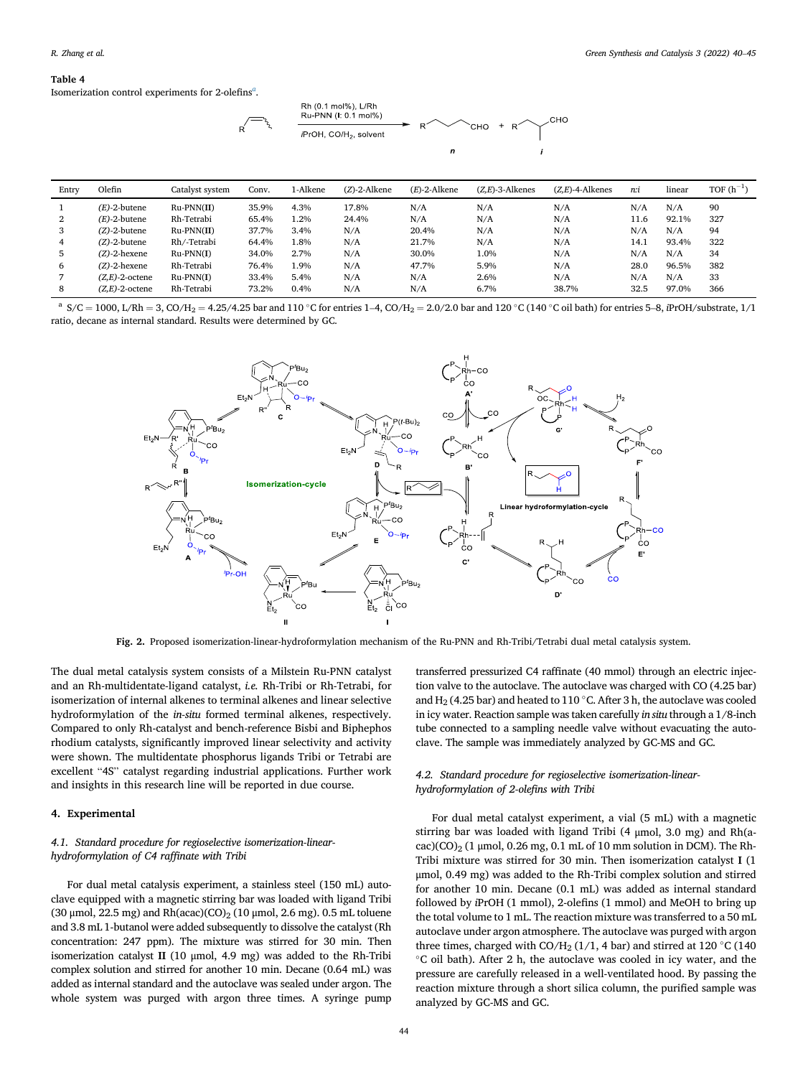#### <span id="page-4-0"></span>Table 4

Isomeriz[a](#page-4-2)tion control experiments for 2-olefins<sup>a</sup>.



| Entry | Olefin            | Catalyst system | Conv. | 1-Alkene | $(Z)$ -2-Alkene | $(E)$ -2-Alkene | $(Z,E)$ -3-Alkenes | $(Z,E)$ -4-Alkenes | n:i  | linear | TOF $(h^{-1})$ |
|-------|-------------------|-----------------|-------|----------|-----------------|-----------------|--------------------|--------------------|------|--------|----------------|
|       | $(E)$ -2-butene   | $Ru-PNN(II)$    | 35.9% | 4.3%     | 17.8%           | N/A             | N/A                | N/A                | N/A  | N/A    | 90             |
| 2     | $(E)$ -2-butene   | Rh-Tetrabi      | 65.4% | 1.2%     | 24.4%           | N/A             | N/A                | N/A                | 11.6 | 92.1%  | 327            |
| 3     | $(Z)$ -2-butene   | $Ru-PNN(II)$    | 37.7% | 3.4%     | N/A             | 20.4%           | N/A                | N/A                | N/A  | N/A    | 94             |
| 4     | $(Z)$ -2-butene   | Rh/-Tetrabi     | 64.4% | 1.8%     | N/A             | 21.7%           | N/A                | N/A                | 14.1 | 93.4%  | 322            |
|       | $(Z)$ -2-hexene   | $Ru-PNN(I)$     | 34.0% | 2.7%     | N/A             | 30.0%           | 1.0%               | N/A                | N/A  | N/A    | 34             |
| 6     | $(Z)$ -2-hexene   | Rh-Tetrabi      | 76.4% | 1.9%     | N/A             | 47.7%           | 5.9%               | N/A                | 28.0 | 96.5%  | 382            |
|       | $(Z,E)$ -2-octene | $Ru-PNN(I)$     | 33.4% | 5.4%     | N/A             | N/A             | 2.6%               | N/A                | N/A  | N/A    | 33             |
| 8     | $(Z,E)$ -2-octene | Rh-Tetrabi      | 73.2% | 0.4%     | N/A             | N/A             | 6.7%               | 38.7%              | 32.5 | 97.0%  | 366            |

<span id="page-4-2"></span><span id="page-4-1"></span> $^{\text{a}}$  S/C = 1000, L/Rh = 3, CO/H<sub>2</sub> = 4.25/4.25 bar and 110 °C for entries 1-4, CO/H<sub>2</sub> = 2.0/2.0 bar and 120 °C (140 °C oil bath) for entries 5-8, iPrOH/substrate, 1/1 ratio, decane as internal standard. Results were determined by GC.



Fig. 2. Proposed isomerization-linear-hydroformylation mechanism of the Ru-PNN and Rh-Tribi/Tetrabi dual metal catalysis system.

The dual metal catalysis system consists of a Milstein Ru-PNN catalyst and an Rh-multidentate-ligand catalyst, i.e. Rh-Tribi or Rh-Tetrabi, for isomerization of internal alkenes to terminal alkenes and linear selective hydroformylation of the in-situ formed terminal alkenes, respectively. Compared to only Rh-catalyst and bench-reference Bisbi and Biphephos rhodium catalysts, significantly improved linear selectivity and activity were shown. The multidentate phosphorus ligands Tribi or Tetrabi are excellent "4S" catalyst regarding industrial applications. Further work and insights in this research line will be reported in due course.

# 4. Experimental

# 4.1. Standard procedure for regioselective isomerization-linearhydroformylation of C4 raffinate with Tribi

For dual metal catalysis experiment, a stainless steel (150 mL) autoclave equipped with a magnetic stirring bar was loaded with ligand Tribi (30 μmol, 22.5 mg) and Rh(acac)(CO)<sub>2</sub> (10 μmol, 2.6 mg). 0.5 mL toluene and 3.8 mL 1-butanol were added subsequently to dissolve the catalyst (Rh concentration: 247 ppm). The mixture was stirred for 30 min. Then isomerization catalyst II (10 μmol, 4.9 mg) was added to the Rh-Tribi complex solution and stirred for another 10 min. Decane (0.64 mL) was added as internal standard and the autoclave was sealed under argon. The whole system was purged with argon three times. A syringe pump transferred pressurized C4 raffinate (40 mmol) through an electric injection valve to the autoclave. The autoclave was charged with CO (4.25 bar) and H<sub>2</sub> (4.25 bar) and heated to 110 °C. After 3 h, the autoclave was cooled in icy water. Reaction sample was taken carefully in situ through a 1/8-inch tube connected to a sampling needle valve without evacuating the autoclave. The sample was immediately analyzed by GC-MS and GC.

# 4.2. Standard procedure for regioselective isomerization-linearhydroformylation of 2-olefins with Tribi

For dual metal catalyst experiment, a vial (5 mL) with a magnetic stirring bar was loaded with ligand Tribi (4 μmol, 3.0 mg) and Rh(acac)(CO)<sub>2</sub> (1 µmol, 0.26 mg, 0.1 mL of 10 mm solution in DCM). The Rh-Tribi mixture was stirred for 30 min. Then isomerization catalyst I (1 μmol, 0.49 mg) was added to the Rh-Tribi complex solution and stirred for another 10 min. Decane (0.1 mL) was added as internal standard followed by iPrOH (1 mmol), 2-olefins (1 mmol) and MeOH to bring up the total volume to 1 mL. The reaction mixture was transferred to a 50 mL autoclave under argon atmosphere. The autoclave was purged with argon three times, charged with CO/H<sub>2</sub> (1/1, 4 bar) and stirred at 120 °C (140 C oil bath). After 2 h, the autoclave was cooled in icy water, and the pressure are carefully released in a well-ventilated hood. By passing the reaction mixture through a short silica column, the purified sample was analyzed by GC-MS and GC.